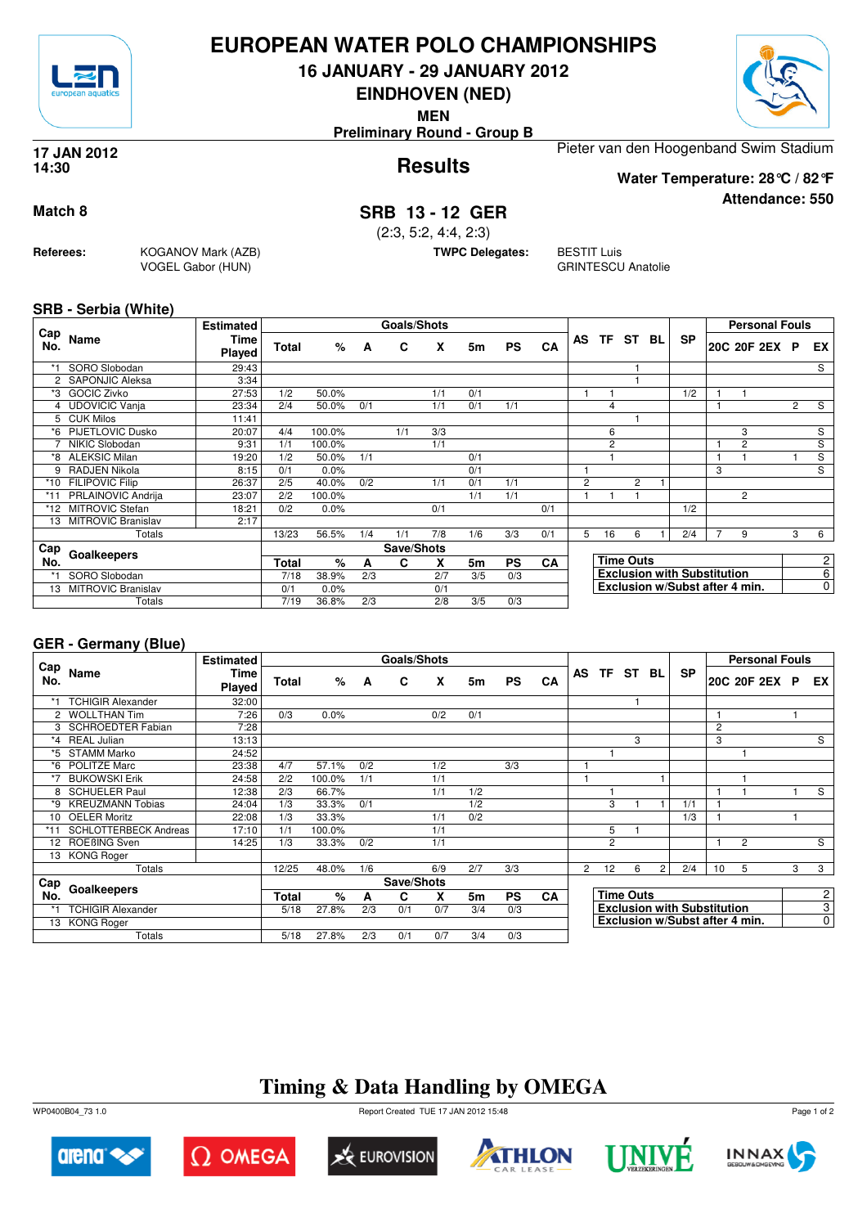

### **EUROPEAN WATER POLO CHAMPIONSHIPS**

**16 JANUARY - 29 JANUARY 2012**

**EINDHOVEN (NED)**

**MEN**

**Preliminary Round - Group B**

# **Results 17 JAN 2012**

Pieter van den Hoogenband Swim Stadium

**Water Temperature: 28°C / 82°F**

**Attendance: 550**

**14:30**

**Match 8 SRB 13 - 12 GER**

(2:3, 5:2, 4:4, 2:3)

**TWPC Delegates:** BESTIT Luis

GRINTESCU Anatolie

**SRB - Serbia (White)**

**Referees:** KOGANOV Mark (AZB)

VOGEL Gabor (HUN)

|            |                           | <b>Estimated</b> |              |        |     | <b>Goals/Shots</b> |     |     |           |           |                |                |                  |     |                                    |   | <b>Personal Fouls</b>          |                |                       |
|------------|---------------------------|------------------|--------------|--------|-----|--------------------|-----|-----|-----------|-----------|----------------|----------------|------------------|-----|------------------------------------|---|--------------------------------|----------------|-----------------------|
| Cap<br>No. | Name                      | Time<br>Played   | Total        | $\%$   | A   | C                  | X   | 5m  | <b>PS</b> | <b>CA</b> | AS             | <b>TF</b>      | ST               | BL. | <b>SP</b>                          |   | 20C 20F 2EX P                  |                | EX.                   |
| *1         | SORO Slobodan             | 29:43            |              |        |     |                    |     |     |           |           |                |                |                  |     |                                    |   |                                |                | S                     |
|            | 2 SAPONJIC Aleksa         | 3:34             |              |        |     |                    |     |     |           |           |                |                |                  |     |                                    |   |                                |                |                       |
| *3         | <b>GOCIC Zivko</b>        | 27:53            | 1/2          | 50.0%  |     |                    | 1/1 | 0/1 |           |           |                |                |                  |     | 1/2                                |   |                                |                |                       |
|            | 4 UDOVICIC Vanja          | 23:34            | 2/4          | 50.0%  | 0/1 |                    | 1/1 | 0/1 | 1/1       |           |                | 4              |                  |     |                                    |   |                                | $\overline{2}$ | S                     |
|            | 5 CUK Milos               | 11:41            |              |        |     |                    |     |     |           |           |                |                |                  |     |                                    |   |                                |                |                       |
|            | *6 PIJETLOVIC Dusko       | 20:07            | 4/4          | 100.0% |     | 1/1                | 3/3 |     |           |           |                | 6              |                  |     |                                    |   | 3                              |                | S                     |
|            | NIKIC Slobodan            | 9:31             | 1/1          | 100.0% |     |                    | 1/1 |     |           |           |                | $\overline{2}$ |                  |     |                                    |   | $\overline{2}$                 |                | S                     |
| *8         | <b>ALEKSIC Milan</b>      | 19:20            | 1/2          | 50.0%  | 1/1 |                    |     | 0/1 |           |           |                |                |                  |     |                                    |   |                                |                | S                     |
| 9          | RADJEN Nikola             | 8:15             | 0/1          | 0.0%   |     |                    |     | 0/1 |           |           |                |                |                  |     |                                    | 3 |                                |                | S                     |
| *10        | <b>FILIPOVIC Filip</b>    | 26:37            | 2/5          | 40.0%  | 0/2 |                    | 1/1 | 0/1 | 1/1       |           | $\overline{2}$ |                | 2                |     |                                    |   |                                |                |                       |
| $*11$      | PRLAINOVIC Andrija        | 23:07            | 2/2          | 100.0% |     |                    |     | 1/1 | 1/1       |           |                |                |                  |     |                                    |   | $\overline{2}$                 |                |                       |
| *12        | <b>MITROVIC Stefan</b>    | 18:21            | 0/2          | 0.0%   |     |                    | 0/1 |     |           | 0/1       |                |                |                  |     | 1/2                                |   |                                |                |                       |
| 13         | <b>MITROVIC Branislav</b> | 2:17             |              |        |     |                    |     |     |           |           |                |                |                  |     |                                    |   |                                |                |                       |
|            | Totals                    |                  | 13/23        | 56.5%  | 1/4 | 1/1                | 7/8 | 1/6 | 3/3       | 0/1       | 5              | 16             | 6                |     | 2/4                                |   | 9                              | 3              | 6                     |
| Cap        |                           |                  |              |        |     | Save/Shots         |     |     |           |           |                |                |                  |     |                                    |   |                                |                |                       |
| No.        | Goalkeepers               |                  | <b>Total</b> | $\%$   | A   | C                  | X   | 5m  | <b>PS</b> | <b>CA</b> |                |                | <b>Time Outs</b> |     |                                    |   |                                |                | $\mathbf{2}^{\prime}$ |
| *1         | SORO Slobodan             |                  | 7/18         | 38.9%  | 2/3 |                    | 2/7 | 3/5 | 0/3       |           |                |                |                  |     | <b>Exclusion with Substitution</b> |   |                                |                | 6                     |
| 13         | <b>MITROVIC Branislav</b> |                  | 0/1          | 0.0%   |     |                    | 0/1 |     |           |           |                |                |                  |     |                                    |   | Exclusion w/Subst after 4 min. |                | 0                     |
|            | Totals                    |                  | 7/19         | 36.8%  | 2/3 |                    | 2/8 | 3/5 | 0/3       |           |                |                |                  |     |                                    |   |                                |                |                       |

#### **GER - Germany (Blue)**

|                |                              | <b>Estimated</b>      |       |        |     | <b>Goals/Shots</b> |     |     |           |    |                |          |                  |                |                                    |    | <b>Personal Fouls</b>          |   |                |
|----------------|------------------------------|-----------------------|-------|--------|-----|--------------------|-----|-----|-----------|----|----------------|----------|------------------|----------------|------------------------------------|----|--------------------------------|---|----------------|
| Cap<br>No.     | Name                         | Time<br><b>Played</b> | Total | ℅      | A   | C                  | X   | 5m  | <b>PS</b> | CA |                | AS TF ST |                  | <b>BL</b>      | <b>SP</b>                          |    | 20C 20F 2EX P                  |   | EX             |
|                | <b>TCHIGIR Alexander</b>     | 32:00                 |       |        |     |                    |     |     |           |    |                |          |                  |                |                                    |    |                                |   |                |
| $\overline{2}$ | <b>WOLLTHAN Tim</b>          | 7:26                  | 0/3   | 0.0%   |     |                    | 0/2 | 0/1 |           |    |                |          |                  |                |                                    |    |                                |   |                |
| 3              | <b>SCHROEDTER Fabian</b>     | 7:28                  |       |        |     |                    |     |     |           |    |                |          |                  |                |                                    | 2  |                                |   |                |
| $*_{4}$        | <b>REAL Julian</b>           | 13:13                 |       |        |     |                    |     |     |           |    |                |          | 3                |                |                                    | 3  |                                |   | S              |
| *5             | <b>STAMM Marko</b>           | 24:52                 |       |        |     |                    |     |     |           |    |                |          |                  |                |                                    |    |                                |   |                |
| *6             | POLITZE Marc                 | 23:38                 | 4/7   | 57.1%  | 0/2 |                    | 1/2 |     | 3/3       |    |                |          |                  |                |                                    |    |                                |   |                |
| *7             | <b>BUKOWSKI Erik</b>         | 24:58                 | 2/2   | 100.0% | 1/1 |                    | 1/1 |     |           |    |                |          |                  |                |                                    |    |                                |   |                |
|                | <b>SCHUELER Paul</b>         | 12:38                 | 2/3   | 66.7%  |     |                    | 1/1 | 1/2 |           |    |                |          |                  |                |                                    |    |                                |   | S              |
| *9             | <b>KREUZMANN Tobias</b>      | 24:04                 | 1/3   | 33.3%  | 0/1 |                    |     | 1/2 |           |    |                | 3        |                  |                | 1/1                                |    |                                |   |                |
| 10             | <b>OELER Moritz</b>          | 22:08                 | 1/3   | 33.3%  |     |                    | 1/1 | 0/2 |           |    |                |          |                  |                | 1/3                                |    |                                |   |                |
|                | <b>SCHLOTTERBECK Andreas</b> | 17:10                 | 1/1   | 100.0% |     |                    | 1/1 |     |           |    |                | 5        |                  |                |                                    |    |                                |   |                |
| 12             | ROEBING Sven                 | 14:25                 | 1/3   | 33.3%  | 0/2 |                    | 1/1 |     |           |    |                | 2        |                  |                |                                    |    | $\overline{2}$                 |   | S              |
| 13             | <b>KONG Roger</b>            |                       |       |        |     |                    |     |     |           |    |                |          |                  |                |                                    |    |                                |   |                |
|                | Totals                       |                       | 12/25 | 48.0%  | 1/6 |                    | 6/9 | 2/7 | 3/3       |    | $\overline{2}$ | 12       | 6                | $\overline{2}$ | 2/4                                | 10 | 5                              | 3 | 3              |
| Cap            |                              |                       |       |        |     | Save/Shots         |     |     |           |    |                |          |                  |                |                                    |    |                                |   |                |
| No.            | Goalkeepers                  |                       | Total | %      | A   | С                  | X   | 5m  | <b>PS</b> | CA |                |          | <b>Time Outs</b> |                |                                    |    |                                |   | $\mathbf{2}$   |
|                | <b>TCHIGIR Alexander</b>     |                       | 5/18  | 27.8%  | 2/3 | 0/1                | 0/7 | 3/4 | 0/3       |    |                |          |                  |                | <b>Exclusion with Substitution</b> |    |                                |   | $\overline{3}$ |
| 13             | <b>KONG Roger</b>            |                       |       |        |     |                    |     |     |           |    |                |          |                  |                |                                    |    | Exclusion w/Subst after 4 min. |   | $\overline{0}$ |
|                | Totals                       |                       | 5/18  | 27.8%  | 2/3 | 0/1                | 0/7 | 3/4 | 0/3       |    |                |          |                  |                |                                    |    |                                |   |                |

## **Timing & Data Handling by OMEGA**



arena<sup><</sup>

WP0400B04\_73 1.0 Report Created TUE 17 JAN 2012 15:48